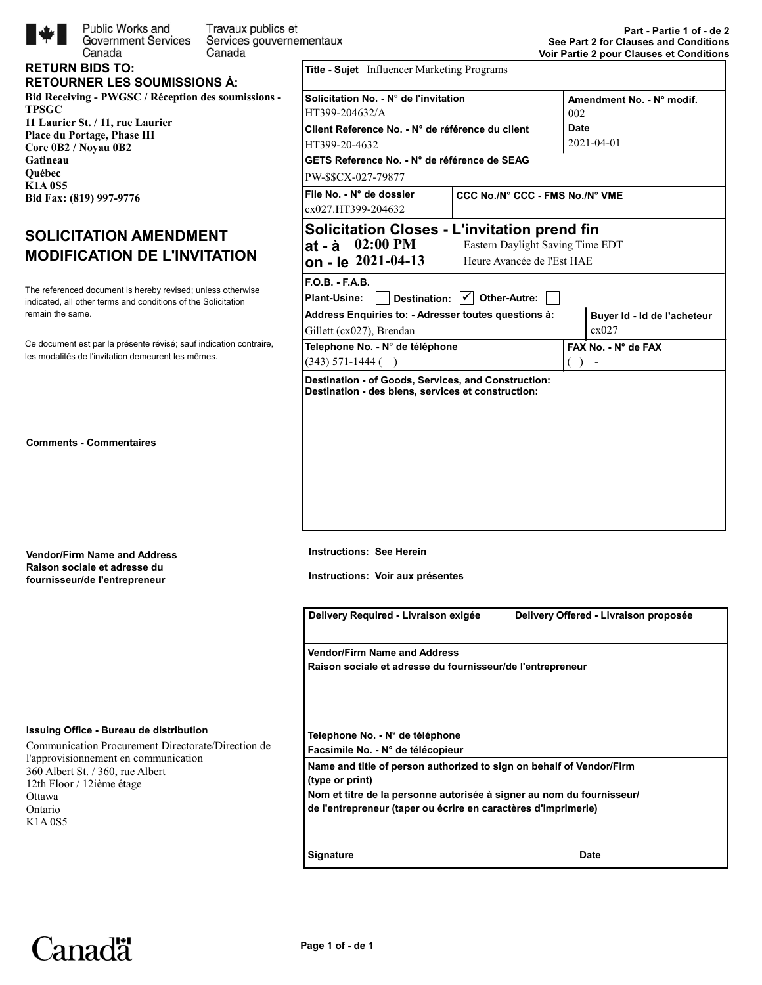

Public Works and Travaux publics et **Government Services** Services gouvernementaux Canada

#### **RETURN BIDS TO: RETOURNER LES SOUMISSIONS À:**

Canada

**Bid Receiving - PWGSC / Réception des soumissions - TPSGC 11 Laurier St. / 11, rue Laurier Place du Portage, Phase III Core 0B2 / Noyau 0B2 Gatineau Québec K1A 0S5 Bid Fax: (819) 997-9776** 

# **SOLICITATION AMENDMENT MODIFICATION DE L'INVITATION**

indicated, all other terms and conditions of the Solicitation The referenced document is hereby revised; unless otherwise remain the same.

les modalités de l'invitation demeurent les mêmes. Ce document est par la présente révisé; sauf indication contraire,

**Comments - Commentaires**

**Vendor/Firm Name and Address Raison sociale et adresse du**

| <b>Vendor/Firm Name and Address</b> |
|-------------------------------------|
| Raison sociale et adresse du        |
| fournisseur/de l'entrepreneur       |

#### **Issuing Office - Bureau de distribution**

Communication Procurement Directorate/Direction de l'approvisionnement en communication 360 Albert St. / 360, rue Albert 12th Floor / 12ième étage Ottawa Ontario K1A 0S5

| <b>Title - Sujet</b> Influencer Marketing Programs                                                                      |                                 |                           |                             |  |  |
|-------------------------------------------------------------------------------------------------------------------------|---------------------------------|---------------------------|-----------------------------|--|--|
| Solicitation No. - N° de l'invitation                                                                                   |                                 | Amendment No. - N° modif. |                             |  |  |
| HT399-204632/A                                                                                                          |                                 | 002                       |                             |  |  |
| Client Reference No. - N° de référence du client                                                                        |                                 | <b>Date</b>               |                             |  |  |
| HT399-20-4632                                                                                                           |                                 | 2021-04-01                |                             |  |  |
| GETS Reference No. - N° de référence de SEAG                                                                            |                                 |                           |                             |  |  |
| PW-\$\$CX-027-79877                                                                                                     |                                 |                           |                             |  |  |
| File No. - N° de dossier                                                                                                | CCC No./N° CCC - FMS No./N° VME |                           |                             |  |  |
| cx027.HT399-204632                                                                                                      |                                 |                           |                             |  |  |
| <b>Solicitation Closes - L'invitation prend fin</b><br>$02:00 \text{ PM}$<br>Eastern Daylight Saving Time EDT<br>at - à |                                 |                           |                             |  |  |
| on - le 2021-04-13                                                                                                      | Heure Avancée de l'Est HAE      |                           |                             |  |  |
| $F.O.B. - F.A.B.$                                                                                                       |                                 |                           |                             |  |  |
| <b>Plant-Usine:</b><br><b>Destination:</b><br>Other-Autre:                                                              |                                 |                           |                             |  |  |
| Address Enquiries to: - Adresser toutes questions à:                                                                    |                                 |                           | Buyer Id - Id de l'acheteur |  |  |
| Gillett (cx027), Brendan                                                                                                |                                 |                           | cx027                       |  |  |
| Telephone No. - N° de téléphone                                                                                         |                                 |                           | FAX No. - N° de FAX         |  |  |
| $(343)$ 571-1444 ()                                                                                                     |                                 |                           |                             |  |  |
| Destination - of Goods, Services, and Construction:<br>Destination - des biens, services et construction:               |                                 |                           |                             |  |  |

**Instructions: See Herein**

**Instructions: Voir aux présentes**

| Delivery Required - Livraison exigée                                                                                                    | Delivery Offered - Livraison proposée |
|-----------------------------------------------------------------------------------------------------------------------------------------|---------------------------------------|
| <b>Vendor/Firm Name and Address</b>                                                                                                     |                                       |
| Raison sociale et adresse du fournisseur/de l'entrepreneur                                                                              |                                       |
|                                                                                                                                         |                                       |
| Telephone No. - N° de téléphone<br>Facsimile No. - N° de télécopieur                                                                    |                                       |
| Name and title of person authorized to sign on behalf of Vendor/Firm<br>(type or print)                                                 |                                       |
| Nom et titre de la personne autorisée à signer au nom du fournisseur/<br>de l'entrepreneur (taper ou écrire en caractères d'imprimerie) |                                       |
| <b>Signature</b>                                                                                                                        | <b>Date</b>                           |

Canadä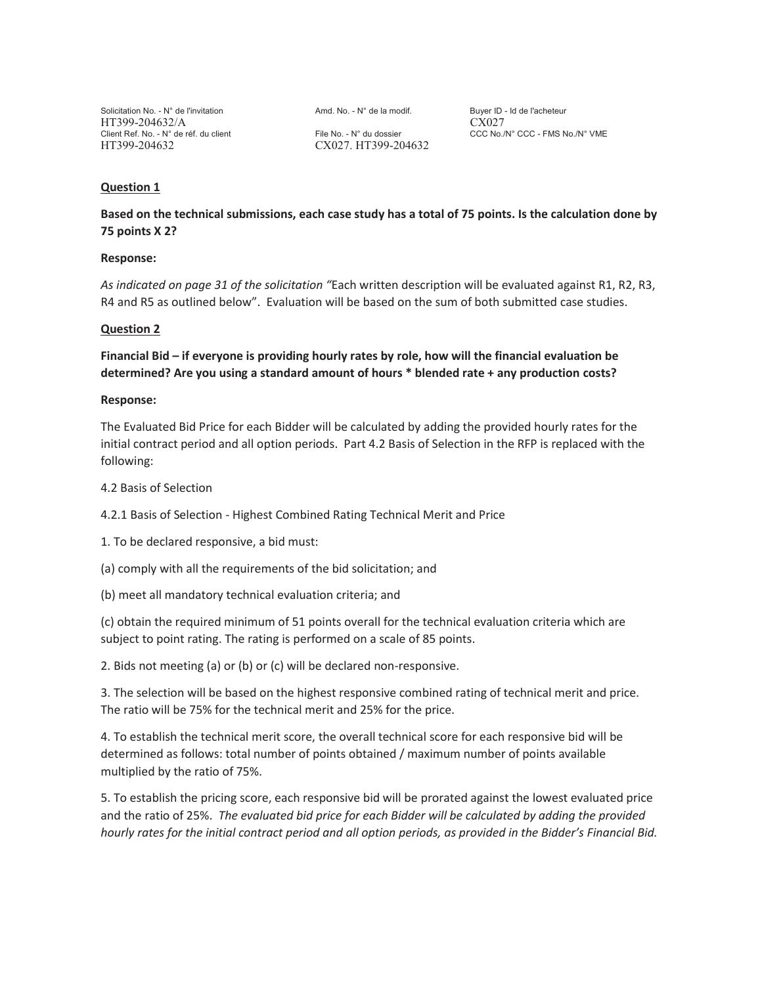Solicitation No. - N° de l'invitation  $A \cap A$ md. No. - N° de la modif. Buyer ID - Id de l'acheteur HT399-204632/A CX027 HT399-204632 CX027. HT399-204632

Client Ref. No. - N° de réf. du client File No. - N° du dossier CCC No./N° CCC - FMS No./N° VME

## **Question 1**

**Based on the technical submissions, each case study has a total of 75 points. Is the calculation done by 75 points X 2?** 

#### **Response:**

*As indicated on page 31 of the solicitation "*Each written description will be evaluated against R1, R2, R3, R4 and R5 as outlined below". Evaluation will be based on the sum of both submitted case studies.

## **Question 2**

**Financial Bid – if everyone is providing hourly rates by role, how will the financial evaluation be determined? Are you using a standard amount of hours \* blended rate + any production costs?** 

#### **Response:**

The Evaluated Bid Price for each Bidder will be calculated by adding the provided hourly rates for the initial contract period and all option periods. Part 4.2 Basis of Selection in the RFP is replaced with the following:

4.2 Basis of Selection

4.2.1 Basis of Selection - Highest Combined Rating Technical Merit and Price

1. To be declared responsive, a bid must:

(a) comply with all the requirements of the bid solicitation; and

(b) meet all mandatory technical evaluation criteria; and

(c) obtain the required minimum of 51 points overall for the technical evaluation criteria which are subject to point rating. The rating is performed on a scale of 85 points.

2. Bids not meeting (a) or (b) or (c) will be declared non-responsive.

3. The selection will be based on the highest responsive combined rating of technical merit and price. The ratio will be 75% for the technical merit and 25% for the price.

4. To establish the technical merit score, the overall technical score for each responsive bid will be determined as follows: total number of points obtained / maximum number of points available multiplied by the ratio of 75%.

5. To establish the pricing score, each responsive bid will be prorated against the lowest evaluated price and the ratio of 25%. *The evaluated bid price for each Bidder will be calculated by adding the provided hourly rates for the initial contract period and all option periods, as provided in the Bidder's Financial Bid.*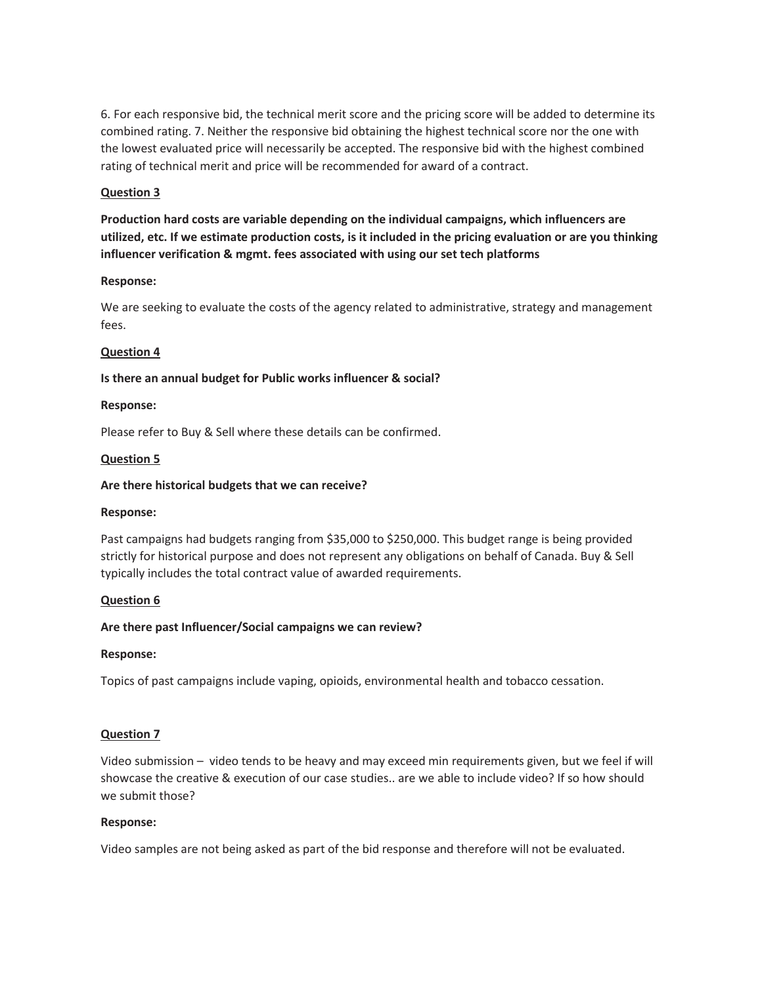6. For each responsive bid, the technical merit score and the pricing score will be added to determine its combined rating. 7. Neither the responsive bid obtaining the highest technical score nor the one with the lowest evaluated price will necessarily be accepted. The responsive bid with the highest combined rating of technical merit and price will be recommended for award of a contract.

# **Question 3**

**Production hard costs are variable depending on the individual campaigns, which influencers are utilized, etc. If we estimate production costs, is it included in the pricing evaluation or are you thinking influencer verification & mgmt. fees associated with using our set tech platforms** 

## **Response:**

We are seeking to evaluate the costs of the agency related to administrative, strategy and management fees.

## **Question 4**

## **Is there an annual budget for Public works influencer & social?**

## **Response:**

Please refer to Buy & Sell where these details can be confirmed.

## **Question 5**

## **Are there historical budgets that we can receive?**

## **Response:**

Past campaigns had budgets ranging from \$35,000 to \$250,000. This budget range is being provided strictly for historical purpose and does not represent any obligations on behalf of Canada. Buy & Sell typically includes the total contract value of awarded requirements.

## **Question 6**

# **Are there past Influencer/Social campaigns we can review?**

## **Response:**

Topics of past campaigns include vaping, opioids, environmental health and tobacco cessation.

## **Question 7**

Video submission – video tends to be heavy and may exceed min requirements given, but we feel if will showcase the creative & execution of our case studies.. are we able to include video? If so how should we submit those?

## **Response:**

Video samples are not being asked as part of the bid response and therefore will not be evaluated.